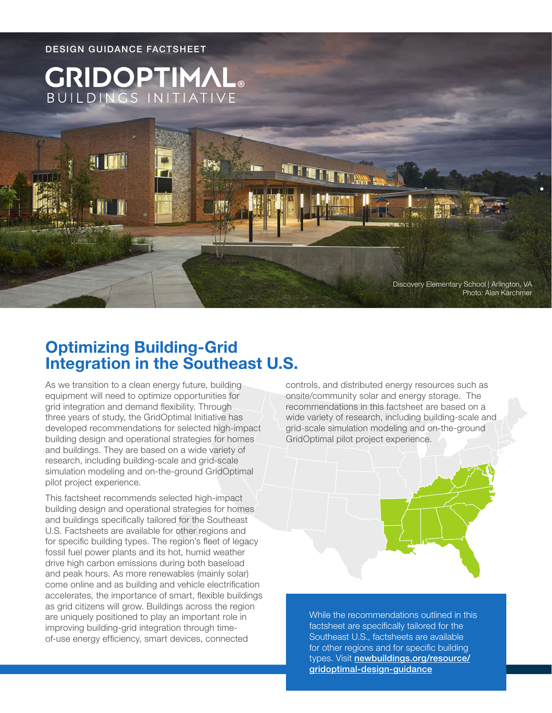

# **Optimizing Building-Grid Integration in the Southeast U.S.**

As we transition to a clean energy future, building equipment will need to optimize opportunities for grid integration and demand flexibility. Through three years of study, the GridOptimal Initiative has developed recommendations for selected high-impact building design and operational strategies for homes and buildings. They are based on a wide variety of research, including building-scale and grid-scale simulation modeling and on-the-ground GridOptimal pilot project experience.

This factsheet recommends selected high-impact building design and operational strategies for homes and buildings specifically tailored for the Southeast U.S. Factsheets are available for other regions and for specific building types. The region's fleet of legacy fossil fuel power plants and its hot, humid weather drive high carbon emissions during both baseload and peak hours. As more renewables (mainly solar) come online and as building and vehicle electrification accelerates, the importance of smart, flexible buildings as grid citizens will grow. Buildings across the region are uniquely positioned to play an important role in improving building-grid integration through timeof-use energy efficiency, smart devices, connected

controls, and distributed energy resources such as onsite/community solar and energy storage. The recommendations in this factsheet are based on a wide variety of research, including building-scale and grid-scale simulation modeling and on-the-ground GridOptimal pilot project experience.



While the recommendations outlined in this factsheet are specifically tailored for the Southeast U.S., factsheets are available for other regions and for specific building types. Visit [newbuildings.org/resource/](https://newbuildings.org/resource/gridoptimal-design-guidance) [gridoptimal-design-guidance](https://newbuildings.org/resource/gridoptimal-design-guidance)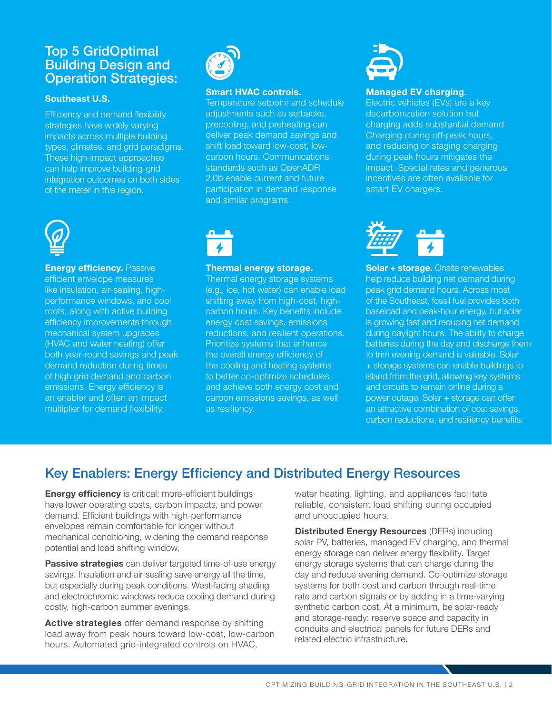### Top 5 GridOptimal Building Design and Operation Strategies:

### **Southeast U.S.**

Efficiency and demand flexibility strategies have widely varying impacts across multiple building types, climates, and grid paradigms. These high-impact approaches can help improve building-grid integration outcomes on both sides of the meter in this region.



**Energy efficiency. Passive** efficient envelope measures like insulation, air-sealing, highperformance windows, and cool roofs, along with active building efficiency improvements through mechanical system upgrades (HVAC and water heating) offer both year-round savings and peak demand reduction during times of high grid demand and carbon emissions. Energy efficiency is an enabler and often an impact multiplier for demand flexibility.



#### **Smart HVAC controls.**

Temperature setpoint and schedule adjustments such as setbacks, precooling, and preheating can deliver peak demand savings and shift load toward low-cost, lowcarbon hours. Communications standards such as OpenADR 2.0b enable current and future participation in demand response and similar programs.



#### **Thermal energy storage.**

Thermal energy storage systems (e.g., ice, hot water) can enable load shifting away from high-cost, highcarbon hours. Key benefits include energy cost savings, emissions reductions, and resilient operations. Prioritize systems that enhance the overall energy efficiency of the cooling and heating systems to better co-optimize schedules and achieve both energy cost and carbon emissions savings, as well as resiliency.



#### **Managed EV charging.**

Electric vehicles (EVs) are a key decarbonization solution but charging adds substantial demand. Charging during off-peak hours, and reducing or staging charging during peak hours mitigates the impact. Special rates and generous incentives are often available for smart EV chargers.



**Solar + storage.** Onsite renewables help reduce building net demand during peak grid demand hours. Across most of the Southeast, fossil fuel provides both baseload and peak-hour energy, but solar is growing fast and reducing net demand during daylight hours. The ability to charge batteries during the day and discharge them to trim evening demand is valuable. Solar + storage systems can enable buildings to island from the grid, allowing key systems and circuits to remain online during a power outage. Solar + storage can offer an attractive combination of cost savings, carbon reductions, and resiliency benefits.

# Key Enablers: Energy Efficiency and Distributed Energy Resources

**Energy efficiency** is critical: more-efficient buildings have lower operating costs, carbon impacts, and power demand. Efficient buildings with high-performance envelopes remain comfortable for longer without mechanical conditioning, widening the demand response potential and load shifting window.

**Passive strategies** can deliver targeted time-of-use energy savings. Insulation and air-sealing save energy all the time, but especially during peak conditions. West-facing shading and electrochromic windows reduce cooling demand during costly, high-carbon summer evenings.

**Active strategies** offer demand response by shifting load away from peak hours toward low-cost, low-carbon hours. Automated grid-integrated controls on HVAC,

water heating, lighting, and appliances facilitate reliable, consistent load shifting during occupied and unoccupied hours.

**Distributed Energy Resources** (DERs) including solar PV, batteries, managed EV charging, and thermal energy storage can deliver energy flexibility. Target energy storage systems that can charge during the day and reduce evening demand. Co-optimize storage systems for both cost and carbon through real-time rate and carbon signals or by adding in a time-varying synthetic carbon cost. At a minimum, be solar-ready and storage-ready: reserve space and capacity in conduits and electrical panels for future DERs and related electric infrastructure.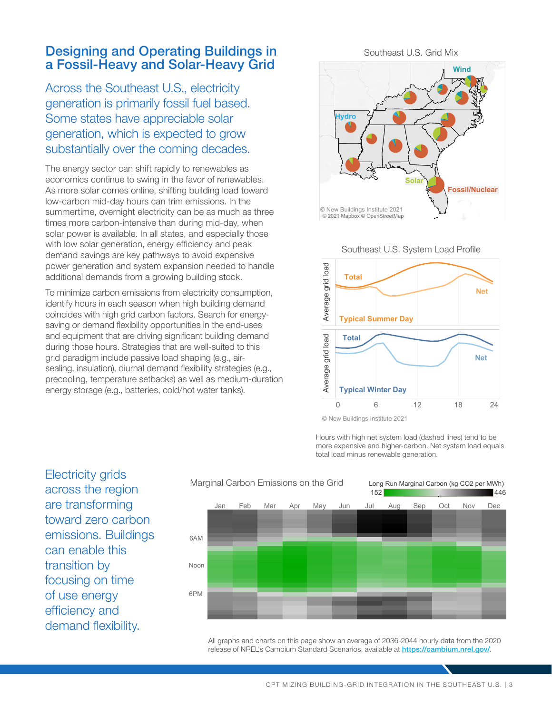## Designing and Operating Buildings in a Fossil-Heavy and Solar-Heavy Grid

Across the Southeast U.S., electricity generation is primarily fossil fuel based. Some states have appreciable solar generation, which is expected to grow substantially over the coming decades.

The energy sector can shift rapidly to renewables as economics continue to swing in the favor of renewables. As more solar comes online, shifting building load toward low-carbon mid-day hours can trim emissions. In the summertime, overnight electricity can be as much as three times more carbon-intensive than during mid-day, when solar power is available. In all states, and especially those with low solar generation, energy efficiency and peak demand savings are key pathways to avoid expensive power generation and system expansion needed to handle additional demands from a growing building stock.

To minimize carbon emissions from electricity consumption, identify hours in each season when high building demand coincides with high grid carbon factors. Search for energysaving or demand flexibility opportunities in the end-uses and equipment that are driving significant building demand during those hours. Strategies that are well-suited to this grid paradigm include passive load shaping (e.g., airsealing, insulation), diurnal demand flexibility strategies (e.g., precooling, temperature setbacks) as well as medium-duration energy storage (e.g., batteries, cold/hot water tanks).

Southeast U.S. Grid Mix



Southeast U.S. System Load Profile



© New Buildings Institute 2021

Hours with high net system load (dashed lines) tend to be more expensive and higher-carbon. Net system load equals total load minus renewable generation.

Electricity grids across the region are transforming toward zero carbon emissions. Buildings can enable this transition by focusing on time of use energy efficiency and demand flexibility.



All graphs and charts on this page show an average of 2036-2044 hourly data from the 2020 release of NREL's Cambium Standard Scenarios, available at <https://cambium.nrel.gov/>.